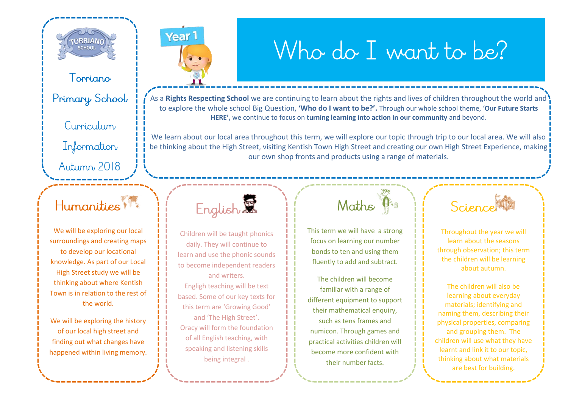

Torriano

Primary School

Curriculum

Information

Autumn 2018

## Humanities ?

We will be exploring our local surroundings and creating maps to develop our locational knowledge. As part of our Local High Street study we will be thinking about where Kentish Town is in relation to the rest of the world.

We will be exploring the history of our local high street and finding out what changes have happened within living memory. Year<sup>1</sup>

## Who do I want to be?

As a **Rights Respecting School** we are continuing to learn about the rights and lives of children throughout the world and to explore the whole school Big Question, **'Who do I want to be?'.** Through our whole school theme, '**Our Future Starts HERE',** we continue to focus on **turning learning into action in our community** and beyond.

We learn about our local area throughout this term, we will explore our topic through trip to our local area. We will also be thinking about the High Street, visiting Kentish Town High Street and creating our own High Street Experience, making our own shop fronts and products using a range of materials.



Children will be taught phonics daily. They will continue to learn and use the phonic sounds to become independent readers and writers.

Engligh teaching will be text based. Some of our key texts for this term are 'Growing Good' and 'The High Street'. Oracy will form the foundation of all English teaching, with speaking and listening skills being integral .

## Maths na

This term we will have a strong focus on learning our number bonds to ten and using them fluently to add and subtract.

The children will become familiar with a range of different equipment to support their mathematical enquiry, such as tens frames and numicon. Through games and practical activities children will become more confident with their number facts.

Science

Throughout the year we will learn about the seasons through observation; this term the children will be learning about autumn.

The children will also be learning about everyday materials; identifying and naming them, describing their physical properties, comparing and grouping them. The children will use what they have learnt and link it to our topic, thinking about what materials are best for building.